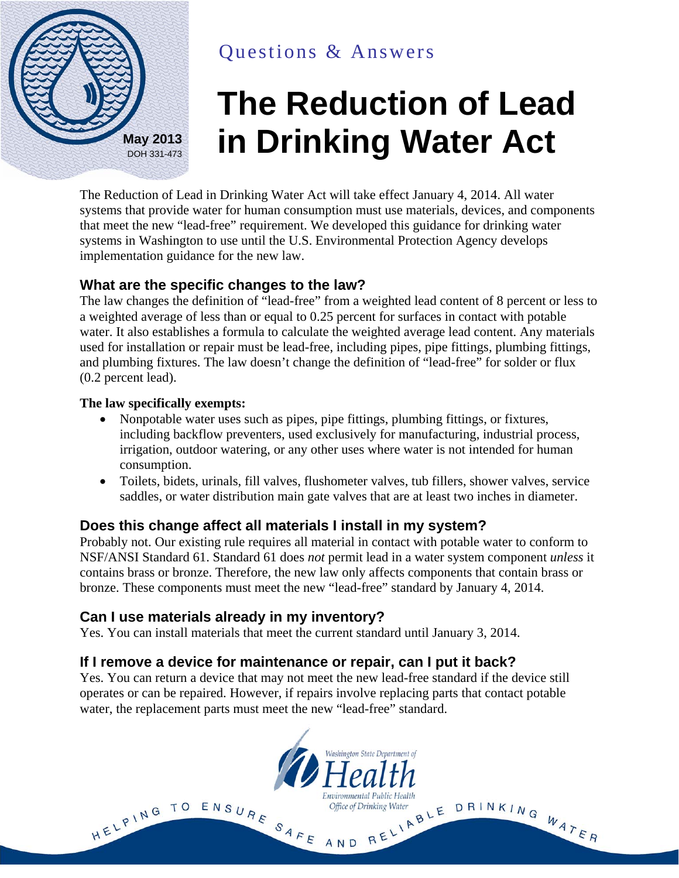

# Questions & Answers

# **The Reduction of Lead May 2013 in Drinking Water Act**

The Reduction of Lead in Drinking Water Act will take effect January 4, 2014. All water systems that provide water for human consumption must use materials, devices, and components that meet the new "lead-free" requirement. We developed this guidance for drinking water systems in Washington to use until the U.S. Environmental Protection Agency develops implementation guidance for the new law.

#### **What are the specific changes to the law?**

The law changes the definition of "lead-free" from a weighted lead content of 8 percent or less to a weighted average of less than or equal to 0.25 percent for surfaces in contact with potable water. It also establishes a formula to calculate the weighted average lead content. Any materials used for installation or repair must be lead-free, including pipes, pipe fittings, plumbing fittings, and plumbing fixtures. The law doesn't change the definition of "lead-free" for solder or flux (0.2 percent lead).

#### **The law specifically exempts:**

- Nonpotable water uses such as pipes, pipe fittings, plumbing fittings, or fixtures, including backflow preventers, used exclusively for manufacturing, industrial process, irrigation, outdoor watering, or any other uses where water is not intended for human consumption.
- Toilets, bidets, urinals, fill valves, flushometer valves, tub fillers, shower valves, service saddles, or water distribution main gate valves that are at least two inches in diameter.

# **Does this change affect all materials I install in my system?**

Probably not. Our existing rule requires all material in contact with potable water to conform to NSF/ANSI Standard 61. Standard 61 does *not* permit lead in a water system component *unless* it contains brass or bronze. Therefore, the new law only affects components that contain brass or bronze. These components must meet the new "lead-free" standard by January 4, 2014.

# **Can I use materials already in my inventory?**

Yes. You can install materials that meet the current standard until January 3, 2014.

# **If I remove a device for maintenance or repair, can I put it back?**

Yes. You can return a device that may not meet the new lead-free standard if the device still operates or can be repaired. However, if repairs involve replacing parts that contact potable water, the replacement parts must meet the new "lead-free" standard.

Washington State Department of

Environmental Public Health

HELPING TO ENSURE SAFE AND RELIABLE DRINKING WATER